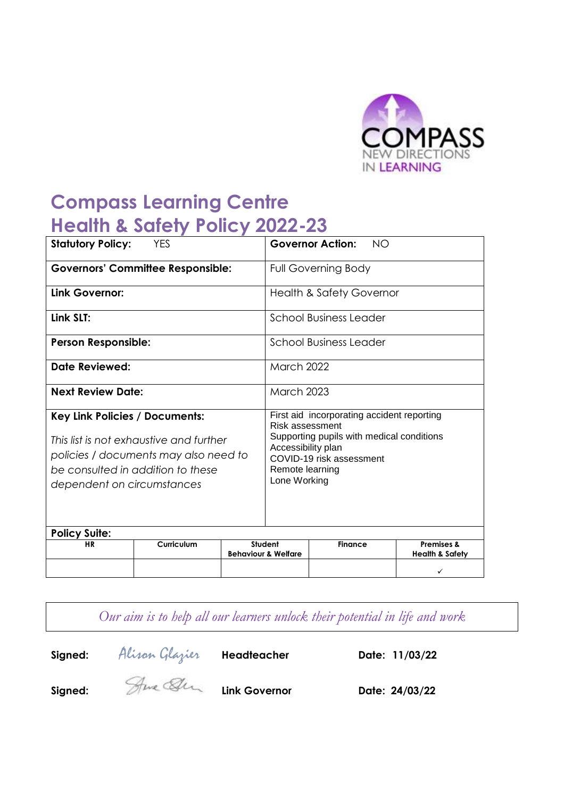

# **Compass Learning Centre Health & Safety Policy 2022-23**

| <b>Statutory Policy:</b><br><b>YES</b>                                                                                                                                                |            | <b>Governor Action:</b><br><b>NO</b> |                                                                                                                                                                                                 |                |                                                     |  |
|---------------------------------------------------------------------------------------------------------------------------------------------------------------------------------------|------------|--------------------------------------|-------------------------------------------------------------------------------------------------------------------------------------------------------------------------------------------------|----------------|-----------------------------------------------------|--|
| <b>Governors' Committee Responsible:</b>                                                                                                                                              |            |                                      | <b>Full Governing Body</b>                                                                                                                                                                      |                |                                                     |  |
| Link Governor:                                                                                                                                                                        |            |                                      | <b>Health &amp; Safety Governor</b>                                                                                                                                                             |                |                                                     |  |
| Link SLT:                                                                                                                                                                             |            |                                      | School Business Leader                                                                                                                                                                          |                |                                                     |  |
| <b>Person Responsible:</b>                                                                                                                                                            |            |                                      | <b>School Business Leader</b>                                                                                                                                                                   |                |                                                     |  |
| <b>Date Reviewed:</b>                                                                                                                                                                 |            |                                      | <b>March 2022</b>                                                                                                                                                                               |                |                                                     |  |
| <b>Next Review Date:</b>                                                                                                                                                              |            |                                      | <b>March 2023</b>                                                                                                                                                                               |                |                                                     |  |
| Key Link Policies / Documents:<br>This list is not exhaustive and further<br>policies / documents may also need to<br>be consulted in addition to these<br>dependent on circumstances |            |                                      | First aid incorporating accident reporting<br>Risk assessment<br>Supporting pupils with medical conditions<br>Accessibility plan<br>COVID-19 risk assessment<br>Remote learning<br>Lone Working |                |                                                     |  |
| <b>Policy Suite:</b>                                                                                                                                                                  |            |                                      |                                                                                                                                                                                                 |                |                                                     |  |
| <b>HR</b>                                                                                                                                                                             | Curriculum |                                      | Student<br><b>Behaviour &amp; Welfare</b>                                                                                                                                                       | <b>Finance</b> | <b>Premises &amp;</b><br><b>Health &amp; Safety</b> |  |
|                                                                                                                                                                                       |            |                                      |                                                                                                                                                                                                 |                |                                                     |  |

*Our aim is to help all our learners unlock their potential in life and work*



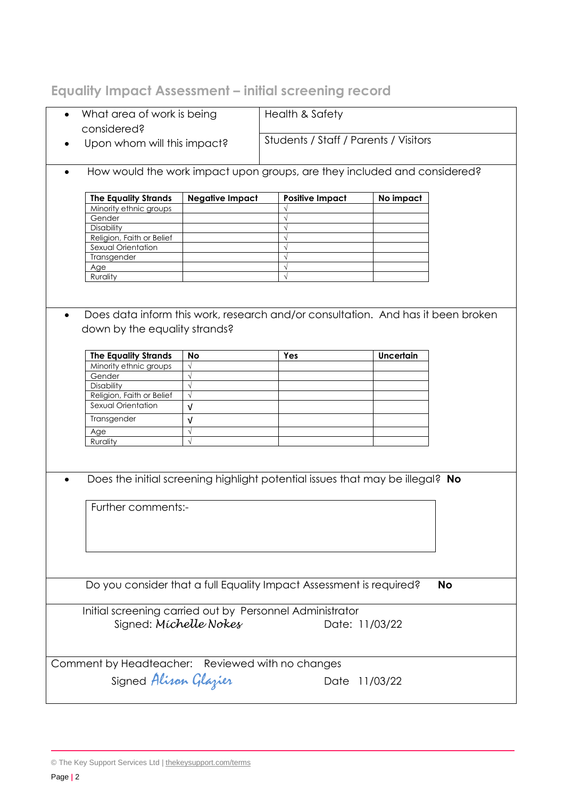## **Equality Impact Assessment – initial screening record**

| What area of work is being<br>$\bullet$<br>considered? |                               |                                       | Health & Safety                                                     |                                                                                  |    |  |
|--------------------------------------------------------|-------------------------------|---------------------------------------|---------------------------------------------------------------------|----------------------------------------------------------------------------------|----|--|
| Upon whom will this impact?                            |                               | Students / Staff / Parents / Visitors |                                                                     |                                                                                  |    |  |
| $\bullet$                                              |                               |                                       |                                                                     | How would the work impact upon groups, are they included and considered?         |    |  |
| <b>The Equality Strands</b>                            |                               | <b>Negative Impact</b>                | <b>Positive Impact</b>                                              | No impact                                                                        |    |  |
| Minority ethnic groups                                 |                               |                                       |                                                                     |                                                                                  |    |  |
| Gender                                                 |                               |                                       | $\sqrt{ }$                                                          |                                                                                  |    |  |
|                                                        | Disability                    |                                       | $\sqrt{ }$                                                          |                                                                                  |    |  |
|                                                        | Religion, Faith or Belief     |                                       | $\sqrt{ }$                                                          |                                                                                  |    |  |
|                                                        | Sexual Orientation            |                                       | $\sqrt{ }$                                                          |                                                                                  |    |  |
| Transgender                                            |                               |                                       | $\sqrt{ }$                                                          |                                                                                  |    |  |
| Age                                                    |                               |                                       | $\sqrt{ }$                                                          |                                                                                  |    |  |
| Rurality                                               |                               |                                       | $\sqrt{ }$                                                          |                                                                                  |    |  |
|                                                        | down by the equality strands? |                                       |                                                                     | Does data inform this work, research and/or consultation. And has it been broken |    |  |
| <b>The Equality Strands</b>                            | <b>No</b>                     |                                       | Yes                                                                 | Uncertain                                                                        |    |  |
| Minority ethnic groups                                 | $\sqrt{ }$                    |                                       |                                                                     |                                                                                  |    |  |
| Gender                                                 | $\sqrt{}$                     |                                       |                                                                     |                                                                                  |    |  |
| Disability                                             | $\sqrt{}$                     |                                       |                                                                     |                                                                                  |    |  |
| Religion, Faith or Belief                              | $\sqrt{ }$                    |                                       |                                                                     |                                                                                  |    |  |
| Sexual Orientation                                     |                               |                                       |                                                                     |                                                                                  |    |  |
|                                                        | $\sqrt{ }$                    |                                       |                                                                     |                                                                                  |    |  |
| Transgender                                            | $\sqrt{ }$                    |                                       |                                                                     |                                                                                  |    |  |
| Age                                                    | $\sqrt{}$                     |                                       |                                                                     |                                                                                  |    |  |
| Rurality                                               | $\sqrt{}$                     |                                       |                                                                     |                                                                                  |    |  |
|                                                        |                               |                                       |                                                                     | Does the initial screening highlight potential issues that may be illegal? No    |    |  |
|                                                        |                               |                                       |                                                                     |                                                                                  |    |  |
|                                                        | Further comments:-            |                                       |                                                                     |                                                                                  |    |  |
|                                                        |                               |                                       |                                                                     |                                                                                  |    |  |
|                                                        |                               |                                       |                                                                     |                                                                                  |    |  |
|                                                        |                               |                                       | Do you consider that a full Equality Impact Assessment is required? |                                                                                  | No |  |
|                                                        | Signed: Michelle Nokes        |                                       | Initial screening carried out by Personnel Administrator            | Date: 11/03/22                                                                   |    |  |
| Comment by Headteacher: Reviewed with no changes       | Signed Alisan Glazier         |                                       |                                                                     |                                                                                  |    |  |
|                                                        |                               |                                       |                                                                     | Date 11/03/22                                                                    |    |  |

<sup>©</sup> The Key Support Services Ltd | [thekeysupport.com/terms](https://thekeysupport.com/terms-of-use)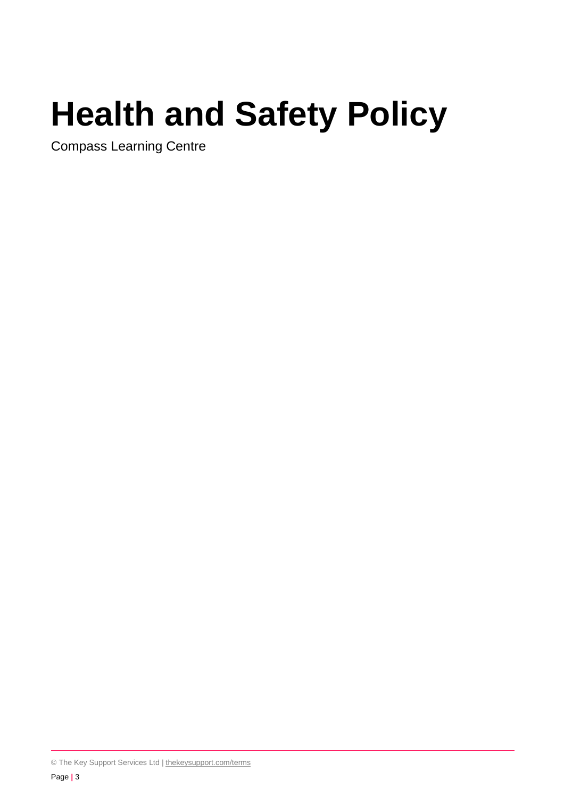# **Health and Safety Policy**

Compass Learning Centre

© The Key Support Services Ltd | [thekeysupport.com/terms](https://thekeysupport.com/terms-of-use)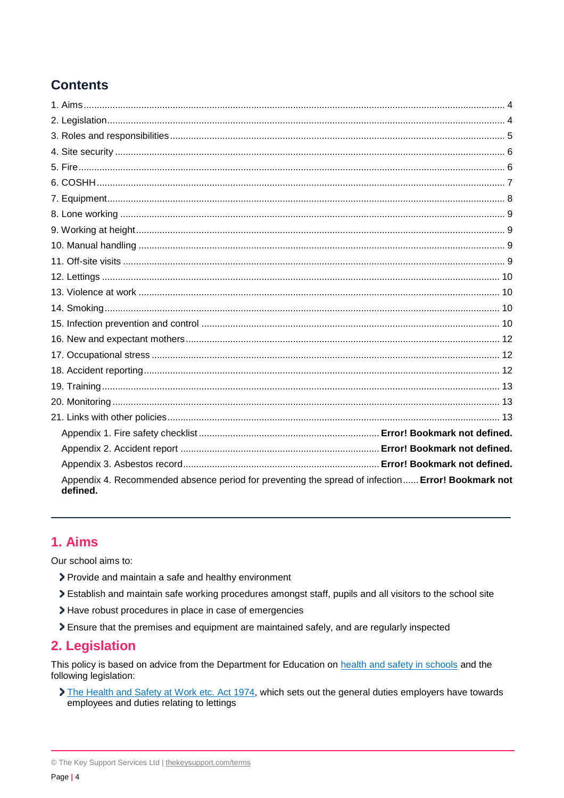## **Contents**

| Appendix 4. Recommended absence period for preventing the spread of infection Error! Bookmark not<br>defined. |  |
|---------------------------------------------------------------------------------------------------------------|--|

## <span id="page-3-0"></span>1. Aims

Our school aims to:

- > Provide and maintain a safe and healthy environment
- > Establish and maintain safe working procedures amongst staff, pupils and all visitors to the school site
- > Have robust procedures in place in case of emergencies
- > Ensure that the premises and equipment are maintained safely, and are regularly inspected

## <span id="page-3-1"></span>2. Legislation

This policy is based on advice from the Department for Education on health and safety in schools and the following legislation:

The Health and Safety at Work etc. Act 1974, which sets out the general duties employers have towards employees and duties relating to lettings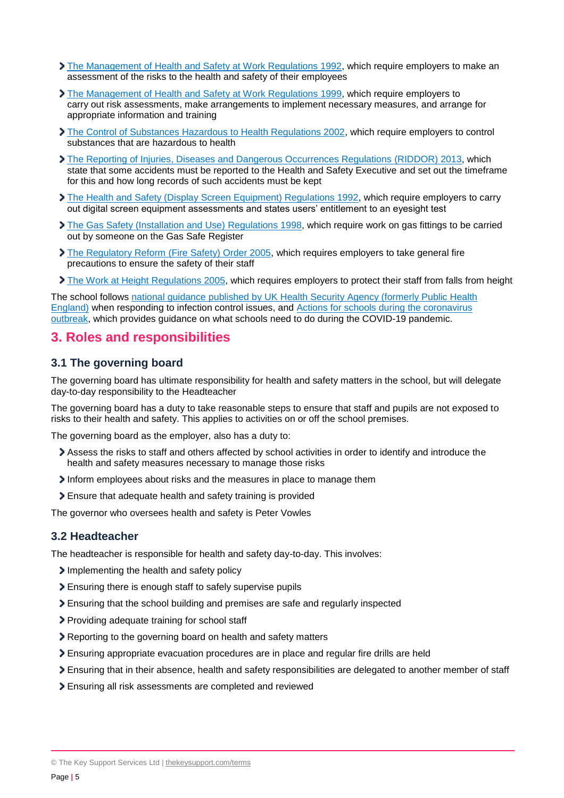- [The Management of Health and Safety at Work Regulations 1992,](http://www.legislation.gov.uk/uksi/1992/2051/regulation/3/made) which require employers to make an assessment of the risks to the health and safety of their employees
- [The Management of Health and Safety at Work Regulations 1999,](http://www.legislation.gov.uk/uksi/1999/3242/contents/made) which require employers to carry out risk assessments, make arrangements to implement necessary measures, and arrange for appropriate information and training
- [The Control of Substances Hazardous to Health Regulations 2002,](http://www.legislation.gov.uk/uksi/2002/2677/contents/made) which require employers to control substances that are hazardous to health
- [The Reporting of Injuries, Diseases and Dangerous Occurrences Regulations](http://www.legislation.gov.uk/uksi/2013/1471/schedule/1/paragraph/1/made) (RIDDOR) 2013, which state that some accidents must be reported to the Health and Safety Executive and set out the timeframe for this and how long records of such accidents must be kept
- > [The Health and Safety \(Display Screen Equipment\) Regulations 1992,](http://www.legislation.gov.uk/uksi/1992/2792/contents/made) which require employers to carry out digital screen equipment assessments and states users' entitlement to an eyesight test
- [The Gas Safety \(Installation and Use\) Regulations](http://www.legislation.gov.uk/uksi/1998/2451/regulation/4/made) 1998, which require work on gas fittings to be carried out by someone on the Gas Safe Register
- [The Regulatory Reform \(Fire Safety\) Order 2005,](http://www.legislation.gov.uk/uksi/2005/1541/part/2/made) which requires employers to take general fire precautions to ensure the safety of their staff
- The Work [at Height Regulations 2005,](http://www.legislation.gov.uk/uksi/2005/735/contents/made) which requires employers to protect their staff from falls from height

The school follows [national guidance published by UK Health Security Agency \(formerly Public Health](https://www.gov.uk/government/publications/health-protection-in-schools-and-other-childcare-facilities/chapter-9-managing-specific-infectious-diseases)  [England\)](https://www.gov.uk/government/publications/health-protection-in-schools-and-other-childcare-facilities/chapter-9-managing-specific-infectious-diseases) when responding to infection control issues, and [Actions for schools during the coronavirus](https://www.gov.uk/government/publications/actions-for-schools-during-the-coronavirus-outbreak/schools-covid-19-operational-guidance)  [outbreak,](https://www.gov.uk/government/publications/actions-for-schools-during-the-coronavirus-outbreak/schools-covid-19-operational-guidance) which provides guidance on what schools need to do during the COVID-19 pandemic.

## <span id="page-4-0"></span>**3. Roles and responsibilities**

## **3.1 The governing board**

The governing board has ultimate responsibility for health and safety matters in the school, but will delegate day-to-day responsibility to the Headteacher

The governing board has a duty to take reasonable steps to ensure that staff and pupils are not exposed to risks to their health and safety. This applies to activities on or off the school premises.

The governing board as the employer, also has a duty to:

- Assess the risks to staff and others affected by school activities in order to identify and introduce the health and safety measures necessary to manage those risks
- Inform employees about risks and the measures in place to manage them
- Ensure that adequate health and safety training is provided

The governor who oversees health and safety is Peter Vowles

## **3.2 Headteacher**

The headteacher is responsible for health and safety day-to-day. This involves:

- Implementing the health and safety policy
- Ensuring there is enough staff to safely supervise pupils
- Ensuring that the school building and premises are safe and regularly inspected
- Providing adequate training for school staff
- **> Reporting to the governing board on health and safety matters**
- Ensuring appropriate evacuation procedures are in place and regular fire drills are held
- Ensuring that in their absence, health and safety responsibilities are delegated to another member of staff
- Ensuring all risk assessments are completed and reviewed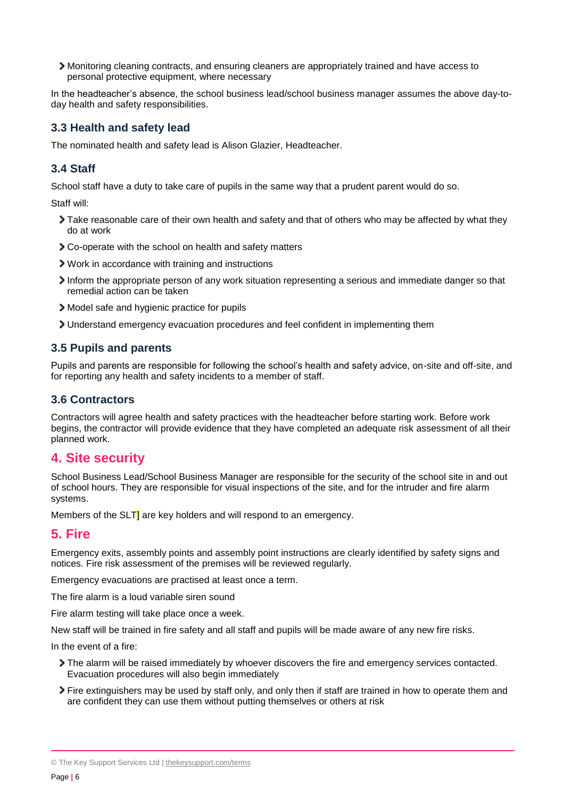Monitoring cleaning contracts, and ensuring cleaners are appropriately trained and have access to personal protective equipment, where necessary

In the headteacher's absence, the school business lead/school business manager assumes the above day-today health and safety responsibilities.

## **3.3 Health and safety lead**

The nominated health and safety lead is Alison Glazier, Headteacher.

## **3.4 Staff**

School staff have a duty to take care of pupils in the same way that a prudent parent would do so.

Staff will:

- Take reasonable care of their own health and safety and that of others who may be affected by what they do at work
- Co-operate with the school on health and safety matters
- Work in accordance with training and instructions
- Inform the appropriate person of any work situation representing a serious and immediate danger so that remedial action can be taken
- Model safe and hygienic practice for pupils
- Understand emergency evacuation procedures and feel confident in implementing them

## **3.5 Pupils and parents**

Pupils and parents are responsible for following the school's health and safety advice, on-site and off-site, and for reporting any health and safety incidents to a member of staff.

#### **3.6 Contractors**

Contractors will agree health and safety practices with the headteacher before starting work. Before work begins, the contractor will provide evidence that they have completed an adequate risk assessment of all their planned work.

## <span id="page-5-0"></span>**4. Site security**

School Business Lead/School Business Manager are responsible for the security of the school site in and out of school hours. They are responsible for visual inspections of the site, and for the intruder and fire alarm systems.

Members of the SLT<sup>1</sup> are key holders and will respond to an emergency.

## <span id="page-5-1"></span>**5. Fire**

Emergency exits, assembly points and assembly point instructions are clearly identified by safety signs and notices. Fire risk assessment of the premises will be reviewed regularly.

Emergency evacuations are practised at least once a term.

The fire alarm is a loud variable siren sound

Fire alarm testing will take place once a week.

New staff will be trained in fire safety and all staff and pupils will be made aware of any new fire risks.

In the event of a fire:

- The alarm will be raised immediately by whoever discovers the fire and emergency services contacted. Evacuation procedures will also begin immediately
- Fire extinguishers may be used by staff only, and only then if staff are trained in how to operate them and are confident they can use them without putting themselves or others at risk

<sup>©</sup> The Key Support Services Ltd | [thekeysupport.com/terms](https://thekeysupport.com/terms-of-use)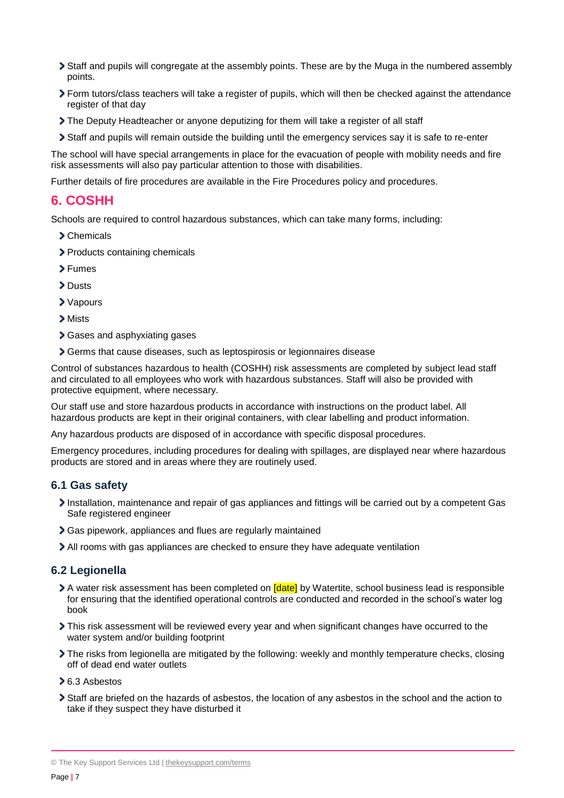- Staff and pupils will congregate at the assembly points. These are by the Muga in the numbered assembly points.
- Form tutors/class teachers will take a register of pupils, which will then be checked against the attendance register of that day
- The Deputy Headteacher or anyone deputizing for them will take a register of all staff
- Staff and pupils will remain outside the building until the emergency services say it is safe to re-enter

The school will have special arrangements in place for the evacuation of people with mobility needs and fire risk assessments will also pay particular attention to those with disabilities.

Further details of fire procedures are available in the Fire Procedures policy and procedures.

## <span id="page-6-0"></span>**6. COSHH**

Schools are required to control hazardous substances, which can take many forms, including:

- Chemicals
- > Products containing chemicals
- Fumes
- > Dusts
- Vapours
- > Mists
- Gases and asphyxiating gases
- Germs that cause diseases, such as leptospirosis or legionnaires disease

Control of substances hazardous to health (COSHH) risk assessments are completed by subject lead staff and circulated to all employees who work with hazardous substances. Staff will also be provided with protective equipment, where necessary.

Our staff use and store hazardous products in accordance with instructions on the product label. All hazardous products are kept in their original containers, with clear labelling and product information.

Any hazardous products are disposed of in accordance with specific disposal procedures.

Emergency procedures, including procedures for dealing with spillages, are displayed near where hazardous products are stored and in areas where they are routinely used.

#### **6.1 Gas safety**

- Installation, maintenance and repair of gas appliances and fittings will be carried out by a competent Gas Safe registered engineer
- Gas pipework, appliances and flues are regularly maintained
- All rooms with gas appliances are checked to ensure they have adequate ventilation

#### **6.2 Legionella**

- A water risk assessment has been completed on **[date]** by Watertite, school business lead is responsible for ensuring that the identified operational controls are conducted and recorded in the school's water log book
- This risk assessment will be reviewed every year and when significant changes have occurred to the water system and/or building footprint
- The risks from legionella are mitigated by the following: weekly and monthly temperature checks, closing off of dead end water outlets
- 6.3 Asbestos
- Staff are briefed on the hazards of asbestos, the location of any asbestos in the school and the action to take if they suspect they have disturbed it

<sup>©</sup> The Key Support Services Ltd | [thekeysupport.com/terms](https://thekeysupport.com/terms-of-use)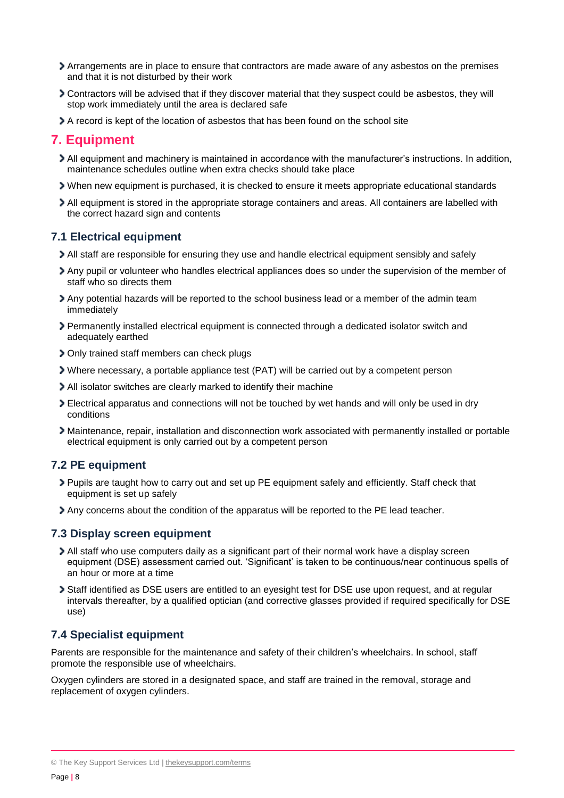- Arrangements are in place to ensure that contractors are made aware of any asbestos on the premises and that it is not disturbed by their work
- Contractors will be advised that if they discover material that they suspect could be asbestos, they will stop work immediately until the area is declared safe
- A record is kept of the location of asbestos that has been found on the school site

## <span id="page-7-0"></span>**7. Equipment**

- All equipment and machinery is maintained in accordance with the manufacturer's instructions. In addition, maintenance schedules outline when extra checks should take place
- When new equipment is purchased, it is checked to ensure it meets appropriate educational standards
- All equipment is stored in the appropriate storage containers and areas. All containers are labelled with the correct hazard sign and contents

## **7.1 Electrical equipment**

- All staff are responsible for ensuring they use and handle electrical equipment sensibly and safely
- Any pupil or volunteer who handles electrical appliances does so under the supervision of the member of staff who so directs them
- Any potential hazards will be reported to the school business lead or a member of the admin team immediately
- Permanently installed electrical equipment is connected through a dedicated isolator switch and adequately earthed
- Only trained staff members can check plugs
- Where necessary, a portable appliance test (PAT) will be carried out by a competent person
- All isolator switches are clearly marked to identify their machine
- Electrical apparatus and connections will not be touched by wet hands and will only be used in dry conditions
- Maintenance, repair, installation and disconnection work associated with permanently installed or portable electrical equipment is only carried out by a competent person

## **7.2 PE equipment**

- Pupils are taught how to carry out and set up PE equipment safely and efficiently. Staff check that equipment is set up safely
- Any concerns about the condition of the apparatus will be reported to the PE lead teacher.

#### **7.3 Display screen equipment**

- All staff who use computers daily as a significant part of their normal work have a display screen equipment (DSE) assessment carried out. 'Significant' is taken to be continuous/near continuous spells of an hour or more at a time
- Staff identified as DSE users are entitled to an eyesight test for DSE use upon request, and at regular intervals thereafter, by a qualified optician (and corrective glasses provided if required specifically for DSE use)

## **7.4 Specialist equipment**

Parents are responsible for the maintenance and safety of their children's wheelchairs. In school, staff promote the responsible use of wheelchairs.

Oxygen cylinders are stored in a designated space, and staff are trained in the removal, storage and replacement of oxygen cylinders.

<sup>©</sup> The Key Support Services Ltd | [thekeysupport.com/terms](https://thekeysupport.com/terms-of-use)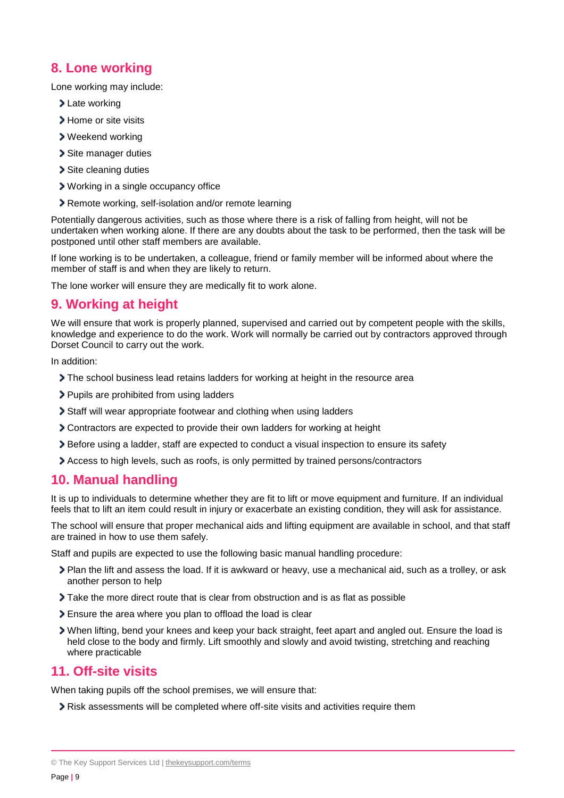## <span id="page-8-0"></span>**8. Lone working**

Lone working may include:

- > Late working
- > Home or site visits
- Weekend working
- Site manager duties
- > Site cleaning duties
- Working in a single occupancy office
- Remote working, self-isolation and/or remote learning

Potentially dangerous activities, such as those where there is a risk of falling from height, will not be undertaken when working alone. If there are any doubts about the task to be performed, then the task will be postponed until other staff members are available.

If lone working is to be undertaken, a colleague, friend or family member will be informed about where the member of staff is and when they are likely to return.

The lone worker will ensure they are medically fit to work alone.

## <span id="page-8-1"></span>**9. Working at height**

We will ensure that work is properly planned, supervised and carried out by competent people with the skills, knowledge and experience to do the work. Work will normally be carried out by contractors approved through Dorset Council to carry out the work.

In addition:

- The school business lead retains ladders for working at height in the resource area
- Pupils are prohibited from using ladders
- Staff will wear appropriate footwear and clothing when using ladders
- Contractors are expected to provide their own ladders for working at height
- Before using a ladder, staff are expected to conduct a visual inspection to ensure its safety
- Access to high levels, such as roofs, is only permitted by trained persons/contractors

## <span id="page-8-2"></span>**10. Manual handling**

It is up to individuals to determine whether they are fit to lift or move equipment and furniture. If an individual feels that to lift an item could result in injury or exacerbate an existing condition, they will ask for assistance.

The school will ensure that proper mechanical aids and lifting equipment are available in school, and that staff are trained in how to use them safely.

Staff and pupils are expected to use the following basic manual handling procedure:

- Plan the lift and assess the load. If it is awkward or heavy, use a mechanical aid, such as a trolley, or ask another person to help
- Take the more direct route that is clear from obstruction and is as flat as possible
- Ensure the area where you plan to offload the load is clear
- When lifting, bend your knees and keep your back straight, feet apart and angled out. Ensure the load is held close to the body and firmly. Lift smoothly and slowly and avoid twisting, stretching and reaching where practicable

## <span id="page-8-3"></span>**11. Off-site visits**

When taking pupils off the school premises, we will ensure that:

Risk assessments will be completed where off-site visits and activities require them

© The Key Support Services Ltd | [thekeysupport.com/terms](https://thekeysupport.com/terms-of-use)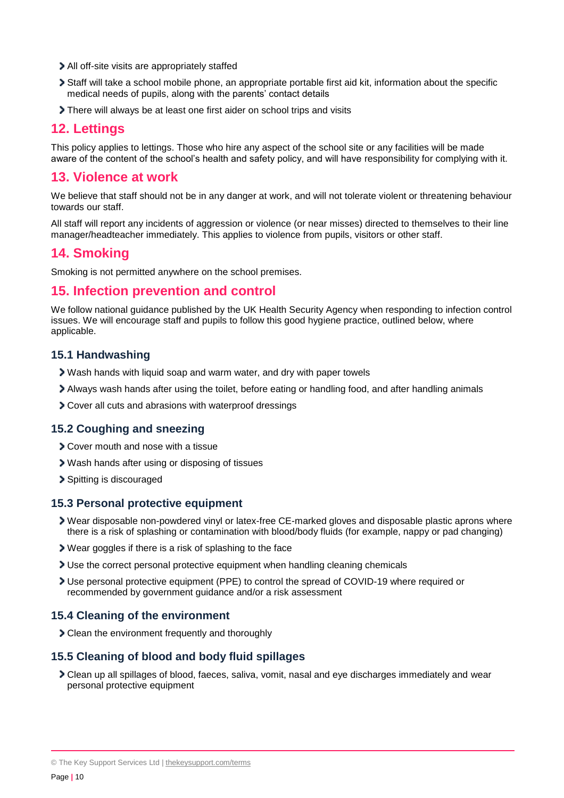- All off-site visits are appropriately staffed
- Staff will take a school mobile phone, an appropriate portable first aid kit, information about the specific medical needs of pupils, along with the parents' contact details
- There will always be at least one first aider on school trips and visits

## <span id="page-9-0"></span>**12. Lettings**

This policy applies to lettings. Those who hire any aspect of the school site or any facilities will be made aware of the content of the school's health and safety policy, and will have responsibility for complying with it.

## <span id="page-9-1"></span>**13. Violence at work**

We believe that staff should not be in any danger at work, and will not tolerate violent or threatening behaviour towards our staff.

All staff will report any incidents of aggression or violence (or near misses) directed to themselves to their line manager/headteacher immediately. This applies to violence from pupils, visitors or other staff.

## <span id="page-9-2"></span>**14. Smoking**

Smoking is not permitted anywhere on the school premises.

## <span id="page-9-3"></span>**15. Infection prevention and control**

We follow national guidance published by the UK Health Security Agency when responding to infection control issues. We will encourage staff and pupils to follow this good hygiene practice, outlined below, where applicable.

#### **15.1 Handwashing**

- Wash hands with liquid soap and warm water, and dry with paper towels
- Always wash hands after using the toilet, before eating or handling food, and after handling animals
- Cover all cuts and abrasions with waterproof dressings

#### **15.2 Coughing and sneezing**

- **> Cover mouth and nose with a tissue**
- Wash hands after using or disposing of tissues
- > Spitting is discouraged

#### **15.3 Personal protective equipment**

- Wear disposable non-powdered vinyl or latex-free CE-marked gloves and disposable plastic aprons where there is a risk of splashing or contamination with blood/body fluids (for example, nappy or pad changing)
- Wear goggles if there is a risk of splashing to the face
- Use the correct personal protective equipment when handling cleaning chemicals
- Use personal protective equipment (PPE) to control the spread of COVID-19 where required or recommended by government guidance and/or a risk assessment

#### **15.4 Cleaning of the environment**

Clean the environment frequently and thoroughly

## **15.5 Cleaning of blood and body fluid spillages**

Clean up all spillages of blood, faeces, saliva, vomit, nasal and eye discharges immediately and wear personal protective equipment

<sup>©</sup> The Key Support Services Ltd | [thekeysupport.com/terms](https://thekeysupport.com/terms-of-use)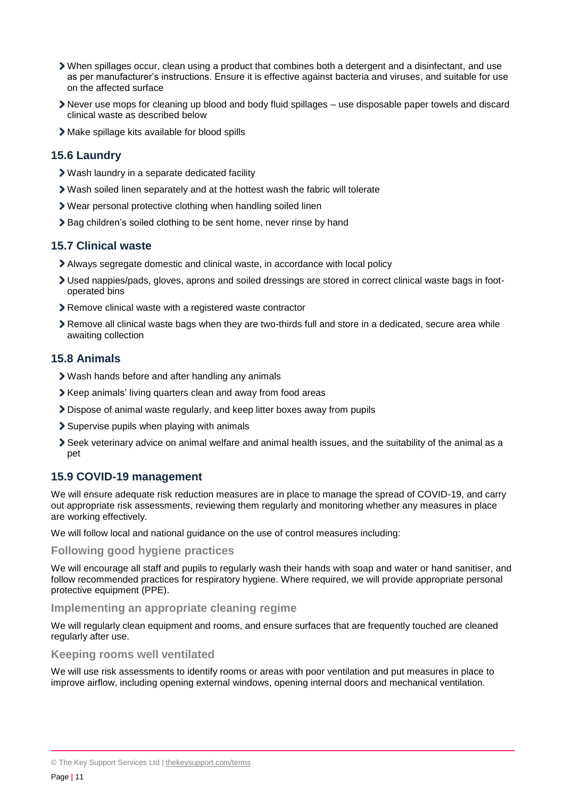- When spillages occur, clean using a product that combines both a detergent and a disinfectant, and use as per manufacturer's instructions. Ensure it is effective against bacteria and viruses, and suitable for use on the affected surface
- Never use mops for cleaning up blood and body fluid spillages use disposable paper towels and discard clinical waste as described below
- Make spillage kits available for blood spills

#### **15.6 Laundry**

- Wash laundry in a separate dedicated facility
- Wash soiled linen separately and at the hottest wash the fabric will tolerate
- Wear personal protective clothing when handling soiled linen
- **>** Bag children's soiled clothing to be sent home, never rinse by hand

#### **15.7 Clinical waste**

- Always segregate domestic and clinical waste, in accordance with local policy
- Used nappies/pads, gloves, aprons and soiled dressings are stored in correct clinical waste bags in footoperated bins
- Remove clinical waste with a registered waste contractor
- Remove all clinical waste bags when they are two-thirds full and store in a dedicated, secure area while awaiting collection

## **15.8 Animals**

- Wash hands before and after handling any animals
- Keep animals' living quarters clean and away from food areas
- Dispose of animal waste regularly, and keep litter boxes away from pupils
- Supervise pupils when playing with animals
- Seek veterinary advice on animal welfare and animal health issues, and the suitability of the animal as a pet

## **15.9 COVID-19 management**

We will ensure adequate risk reduction measures are in place to manage the spread of COVID-19, and carry out appropriate risk assessments, reviewing them regularly and monitoring whether any measures in place are working effectively.

We will follow local and national guidance on the use of control measures including:

#### **Following good hygiene practices**

We will encourage all staff and pupils to regularly wash their hands with soap and water or hand sanitiser, and follow recommended practices for respiratory hygiene. Where required, we will provide appropriate personal protective equipment (PPE).

#### **Implementing an appropriate cleaning regime**

We will regularly clean equipment and rooms, and ensure surfaces that are frequently touched are cleaned regularly after use.

#### **Keeping rooms well ventilated**

We will use risk assessments to identify rooms or areas with poor ventilation and put measures in place to improve airflow, including opening external windows, opening internal doors and mechanical ventilation.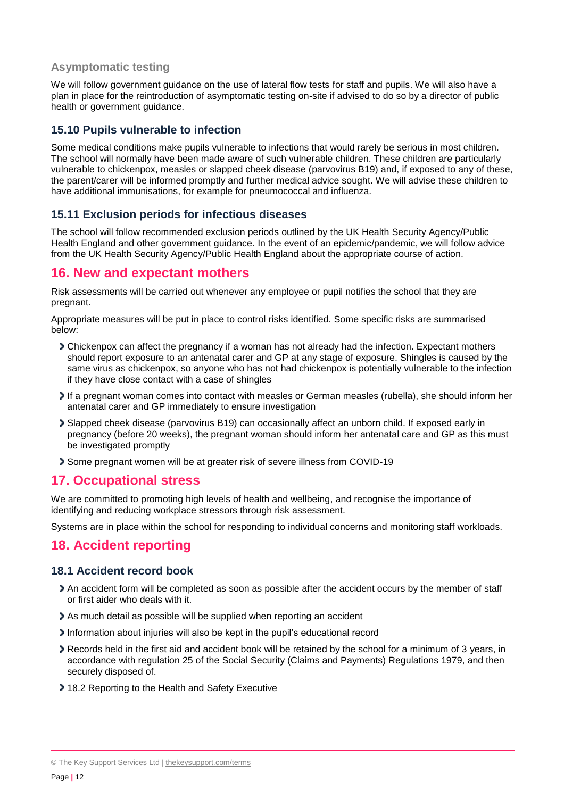## **Asymptomatic testing**

We will follow government guidance on the use of lateral flow tests for staff and pupils. We will also have a plan in place for the reintroduction of asymptomatic testing on-site if advised to do so by a director of public health or government guidance.

## **15.10 Pupils vulnerable to infection**

Some medical conditions make pupils vulnerable to infections that would rarely be serious in most children. The school will normally have been made aware of such vulnerable children. These children are particularly vulnerable to chickenpox, measles or slapped cheek disease (parvovirus B19) and, if exposed to any of these, the parent/carer will be informed promptly and further medical advice sought. We will advise these children to have additional immunisations, for example for pneumococcal and influenza.

## **15.11 Exclusion periods for infectious diseases**

The school will follow recommended exclusion periods outlined by the UK Health Security Agency/Public Health England and other government guidance. In the event of an epidemic/pandemic, we will follow advice from the UK Health Security Agency/Public Health England about the appropriate course of action.

## <span id="page-11-0"></span>**16. New and expectant mothers**

Risk assessments will be carried out whenever any employee or pupil notifies the school that they are pregnant.

Appropriate measures will be put in place to control risks identified. Some specific risks are summarised below:

- Chickenpox can affect the pregnancy if a woman has not already had the infection. Expectant mothers should report exposure to an antenatal carer and GP at any stage of exposure. Shingles is caused by the same virus as chickenpox, so anyone who has not had chickenpox is potentially vulnerable to the infection if they have close contact with a case of shingles
- If a pregnant woman comes into contact with measles or German measles (rubella), she should inform her antenatal carer and GP immediately to ensure investigation
- Slapped cheek disease (parvovirus B19) can occasionally affect an unborn child. If exposed early in pregnancy (before 20 weeks), the pregnant woman should inform her antenatal care and GP as this must be investigated promptly
- Some pregnant women will be at greater risk of severe illness from COVID-19

## <span id="page-11-1"></span>**17. Occupational stress**

We are committed to promoting high levels of health and wellbeing, and recognise the importance of identifying and reducing workplace stressors through risk assessment.

Systems are in place within the school for responding to individual concerns and monitoring staff workloads.

## <span id="page-11-2"></span>**18. Accident reporting**

#### **18.1 Accident record book**

- An accident form will be completed as soon as possible after the accident occurs by the member of staff or first aider who deals with it.
- As much detail as possible will be supplied when reporting an accident
- Information about injuries will also be kept in the pupil's educational record
- Records held in the first aid and accident book will be retained by the school for a minimum of 3 years, in accordance with regulation 25 of the Social Security (Claims and Payments) Regulations 1979, and then securely disposed of.
- 18.2 Reporting to the Health and Safety Executive

<sup>©</sup> The Key Support Services Ltd | [thekeysupport.com/terms](https://thekeysupport.com/terms-of-use)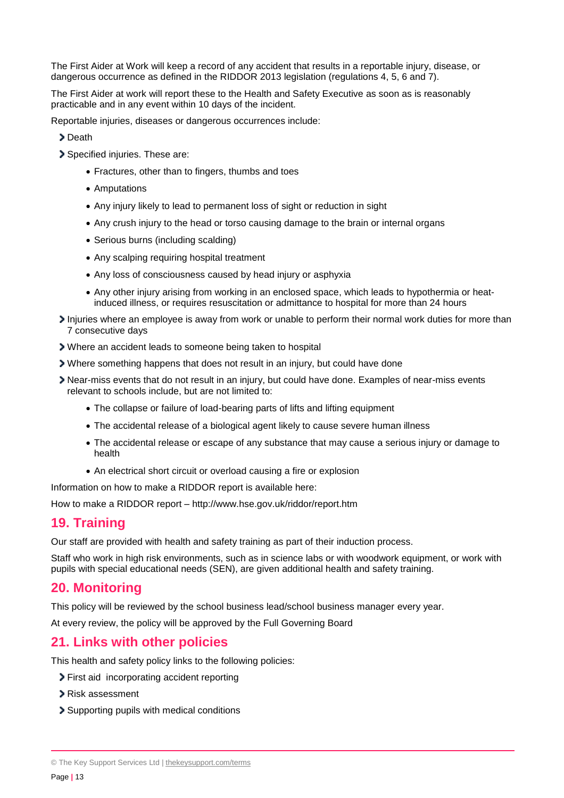The First Aider at Work will keep a record of any accident that results in a reportable injury, disease, or dangerous occurrence as defined in the RIDDOR 2013 legislation (regulations 4, 5, 6 and 7).

The First Aider at work will report these to the Health and Safety Executive as soon as is reasonably practicable and in any event within 10 days of the incident.

Reportable injuries, diseases or dangerous occurrences include:

- > Death
- Specified injuries. These are:
	- Fractures, other than to fingers, thumbs and toes
	- Amputations
	- Any injury likely to lead to permanent loss of sight or reduction in sight
	- Any crush injury to the head or torso causing damage to the brain or internal organs
	- Serious burns (including scalding)
	- Any scalping requiring hospital treatment
	- Any loss of consciousness caused by head injury or asphyxia
	- Any other injury arising from working in an enclosed space, which leads to hypothermia or heatinduced illness, or requires resuscitation or admittance to hospital for more than 24 hours
- Injuries where an employee is away from work or unable to perform their normal work duties for more than 7 consecutive days
- Where an accident leads to someone being taken to hospital
- Where something happens that does not result in an injury, but could have done
- Near-miss events that do not result in an injury, but could have done. Examples of near-miss events relevant to schools include, but are not limited to:
	- The collapse or failure of load-bearing parts of lifts and lifting equipment
	- The accidental release of a biological agent likely to cause severe human illness
	- The accidental release or escape of any substance that may cause a serious injury or damage to health
	- An electrical short circuit or overload causing a fire or explosion

Information on how to make a RIDDOR report is available here:

How to make a RIDDOR report – http://www.hse.gov.uk/riddor/report.htm

## <span id="page-12-0"></span>**19. Training**

Our staff are provided with health and safety training as part of their induction process.

Staff who work in high risk environments, such as in science labs or with woodwork equipment, or work with pupils with special educational needs (SEN), are given additional health and safety training.

## <span id="page-12-1"></span>**20. Monitoring**

This policy will be reviewed by the school business lead/school business manager every year.

At every review, the policy will be approved by the Full Governing Board

## <span id="page-12-2"></span>**21. Links with other policies**

This health and safety policy links to the following policies:

- First aid incorporating accident reporting
- Risk assessment
- Supporting pupils with medical conditions

<sup>©</sup> The Key Support Services Ltd | [thekeysupport.com/terms](https://thekeysupport.com/terms-of-use)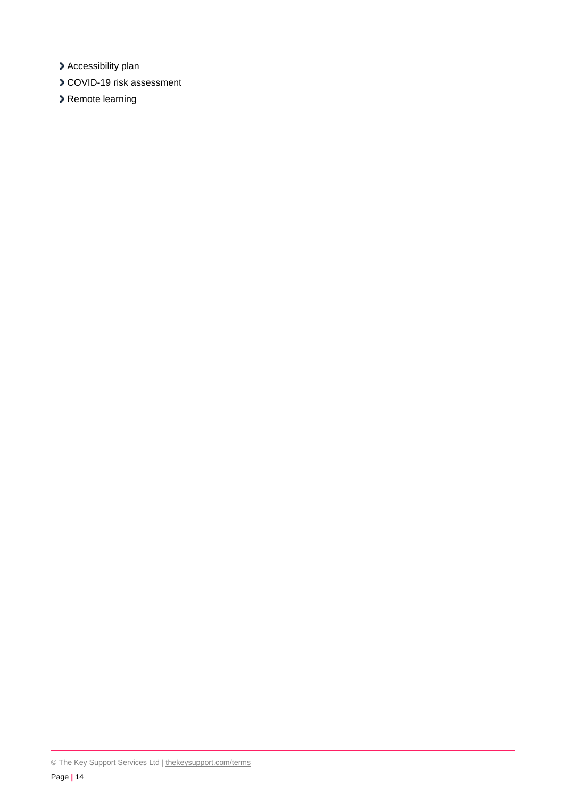- > Accessibility plan
- COVID-19 risk assessment
- > Remote learning

<sup>©</sup> The Key Support Services Ltd | [thekeysupport.com/terms](https://thekeysupport.com/terms-of-use)